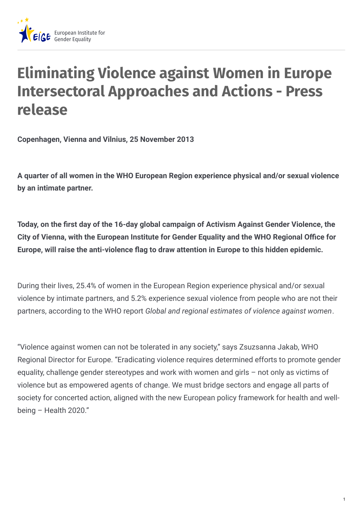

# **Eliminating Violence against Women in Europe Intersectoral Approaches and Actions - Press release**

**Copenhagen, Vienna and Vilnius, 25 November 2013**

**A quarter of all women in the WHO European Region experience physical and/or sexual violence by an intimate partner.**

**Today, on the +rst day of the 16-day global campaign of Activism Against Gender Violence, the City of Vienna, with the European Institute for Gender Equality and the WHO Regional O0ce for Europe, will raise the anti-violence 1ag to draw attention in Europe to this hidden epidemic.**

During their lives, 25.4% of women in the European Region experience physical and/or sexual violence by intimate partners, and 5.2% experience sexual violence from people who are not their partners, according to the WHO report *Global and regional estimates of violence against women*.

"Violence against women can not be tolerated in any society," says Zsuzsanna Jakab, WHO Regional Director for Europe. "Eradicating violence requires determined efforts to promote gender equality, challenge gender stereotypes and work with women and girls – not only as victims of violence but as empowered agents of change. We must bridge sectors and engage all parts of society for concerted action, aligned with the new European policy framework for health and wellbeing – Health 2020."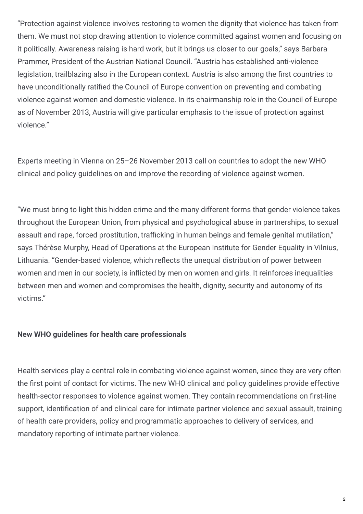"Protection against violence involves restoring to women the dignity that violence has taken from them. We must not stop drawing attention to violence committed against women and focusing on it politically. Awareness raising is hard work, but it brings us closer to our goals," says Barbara Prammer, President of the Austrian National Council. "Austria has established anti-violence legislation, trailblazing also in the European context. Austria is also among the first countries to have unconditionally ratified the Council of Europe convention on preventing and combating violence against women and domestic violence. In its chairmanship role in the Council of Europe as of November 2013, Austria will give particular emphasis to the issue of protection against violence."

Experts meeting in Vienna on 25–26 November 2013 call on countries to adopt the new WHO clinical and policy guidelines on and improve the recording of violence against women.

"We must bring to light this hidden crime and the many different forms that gender violence takes throughout the European Union, from physical and psychological abuse in partnerships, to sexual assault and rape, forced prostitution, trafficking in human beings and female genital mutilation," says Thérèse Murphy, Head of Operations at the European Institute for Gender Equality in Vilnius, Lithuania. "Gender-based violence, which reflects the unequal distribution of power between women and men in our society, is inflicted by men on women and girls. It reinforces inequalities between men and women and compromises the health, dignity, security and autonomy of its victims."

## **New WHO guidelines for health care professionals**

Health services play a central role in combating violence against women, since they are very often the first point of contact for victims. The new WHO clinical and policy guidelines provide effective health-sector responses to violence against women. They contain recommendations on first-line support, identification of and clinical care for intimate partner violence and sexual assault, training of health care providers, policy and programmatic approaches to delivery of services, and mandatory reporting of intimate partner violence.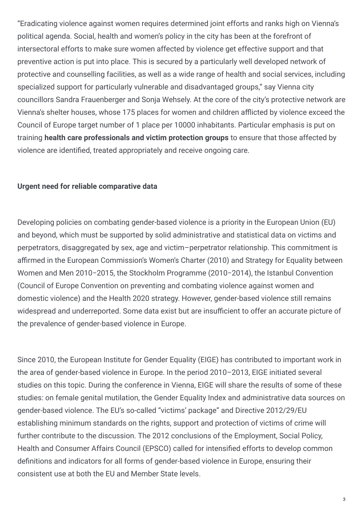"Eradicating violence against women requires determined joint efforts and ranks high on Vienna's political agenda. Social, health and women's policy in the city has been at the forefront of intersectoral efforts to make sure women affected by violence get effective support and that preventive action is put into place. This is secured by a particularly well developed network of protective and counselling facilities, as well as a wide range of health and social services, including specialized support for particularly vulnerable and disadvantaged groups," say Vienna city councillors Sandra Frauenberger and Sonja Wehsely. At the core of the city's protective network are Vienna's shelter houses, whose 175 places for women and children afflicted by violence exceed the Council of Europe target number of 1 place per 10000 inhabitants. Particular emphasis is put on training **health care professionals and victim protection groups** to ensure that those affected by violence are identified, treated appropriately and receive ongoing care.

#### **Urgent need for reliable comparative data**

Developing policies on combating gender-based violence is a priority in the European Union (EU) and beyond, which must be supported by solid administrative and statistical data on victims and perpetrators, disaggregated by sex, age and victim–perpetrator relationship. This commitment is affirmed in the European Commission's Women's Charter (2010) and Strategy for Equality between Women and Men 2010−2015, the Stockholm Programme (2010−2014), the Istanbul Convention (Council of Europe Convention on preventing and combating violence against women and domestic violence) and the Health 2020 strategy. However, gender-based violence still remains widespread and underreported. Some data exist but are insufficient to offer an accurate picture of the prevalence of gender-based violence in Europe.

Since 2010, the European Institute for Gender Equality (EIGE) has contributed to important work in the area of gender-based violence in Europe. In the period 2010–2013, EIGE initiated several studies on this topic. During the conference in Vienna, EIGE will share the results of some of these studies: on female genital mutilation, the Gender Equality Index and administrative data sources on gender-based violence. The EU's so-called "victims' package" and Directive 2012/29/EU establishing minimum standards on the rights, support and protection of victims of crime will further contribute to the discussion. The 2012 conclusions of the Employment, Social Policy, Health and Consumer Affairs Council (EPSCO) called for intensified efforts to develop common definitions and indicators for all forms of gender-based violence in Europe, ensuring their consistent use at both the EU and Member State levels.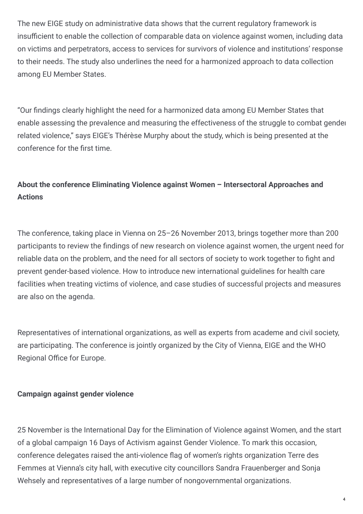The new EIGE study on administrative data shows that the current regulatory framework is insufficient to enable the collection of comparable data on violence against women, including data on victims and perpetrators, access to services for survivors of violence and institutions' response to their needs. The study also underlines the need for a harmonized approach to data collection among EU Member States.

"Our 5ndings clearly highlight the need for a harmonized data among EU Member States that enable assessing the prevalence and measuring the effectiveness of the struggle to combat gender related violence," says EIGE's Thérèse Murphy about the study, which is being presented at the conference for the first time.

# **About the conference Eliminating Violence against Women – Intersectoral Approaches and Actions**

The conference, taking place in Vienna on 25–26 November 2013, brings together more than 200 participants to review the findings of new research on violence against women, the urgent need for reliable data on the problem, and the need for all sectors of society to work together to fight and prevent gender-based violence. How to introduce new international guidelines for health care facilities when treating victims of violence, and case studies of successful projects and measures are also on the agenda.

Representatives of international organizations, as well as experts from academe and civil society, are participating. The conference is jointly organized by the City of Vienna, EIGE and the WHO Regional Office for Europe.

## **Campaign against gender violence**

25 November is the International Day for the Elimination of Violence against Women, and the start of a global campaign 16 Days of Activism against Gender Violence. To mark this occasion, conference delegates raised the anti-violence flag of women's rights organization Terre des Femmes at Vienna's city hall, with executive city councillors Sandra Frauenberger and Sonja Wehsely and representatives of a large number of nongovernmental organizations.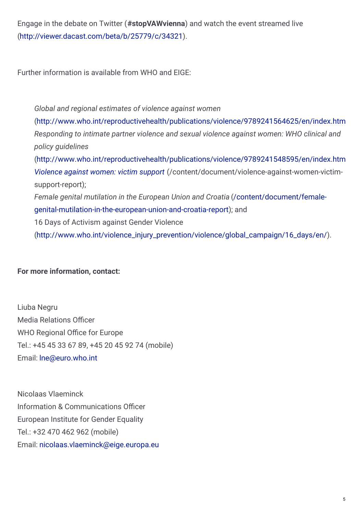Engage in the debate on Twitter (**#stopVAWvienna**) and watch the event streamed live [\(http://viewer.dacast.com/beta/b/25779/c/34321](http://viewer.dacast.com/beta/b/25779/c/34321)).

Further information is available from WHO and EIGE:

*Global and regional estimates of violence against women* [\(http://www.who.int/reproductivehealth/publications/violence/9789241564625/en/index.html](http://www.who.int/reproductivehealth/publications/violence/9789241564625/en/index.html) *Responding to intimate partner violence and sexual violence against women: WHO clinical and policy guidelines* [\(http://www.who.int/reproductivehealth/publications/violence/9789241548595/en/index.html](http://www.who.int/reproductivehealth/publications/violence/9789241548595/en/index.html) *[Violence](http://www.eige.europa.eu/content/document/violence-against-women-victim-support-report) against women: victim support* (/content/document/violence-against-women-victimsupport-report); *Female genital mutilation in the European Union and Croatia* (/content/document/female[genital-mutilation-in-the-european-union-and-croatia-report\);](https://eige.europa.eu/content/document/female-genital-mutilation-in-the-european-union-and-croatia-report) and 16 Days of Activism against Gender Violence [\(http://www.who.int/violence\\_injury\\_prevention/violence/global\\_campaign/16\\_days/en/](http://www.who.int/violence_injury_prevention/violence/global_campaign/16_days/en/)).

**For more information, contact:**

Liuba Negru Media Relations Officer WHO Regional Office for Europe Tel.: +45 45 33 67 89, +45 20 45 92 74 (mobile) Email: [lne@euro.who.int](mailto:lne@euro.who.int)

Nicolaas Vlaeminck Information & Communications Officer European Institute for Gender Equality Tel.: +32 470 462 962 (mobile) Email: [nicolaas.vlaeminck@eige.europa.eu](mailto:nicolaas.vlaeminck@eige.europa.eu)